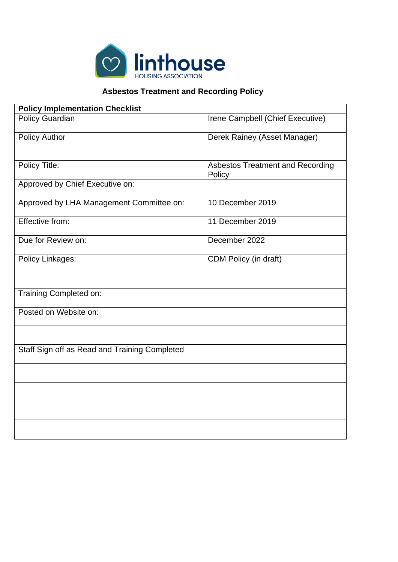

## **Asbestos Treatment and Recording Policy**

| <b>Policy Implementation Checklist</b>        |                                                   |  |
|-----------------------------------------------|---------------------------------------------------|--|
| <b>Policy Guardian</b>                        | Irene Campbell (Chief Executive)                  |  |
| <b>Policy Author</b>                          | Derek Rainey (Asset Manager)                      |  |
| Policy Title:                                 | <b>Asbestos Treatment and Recording</b><br>Policy |  |
| Approved by Chief Executive on:               |                                                   |  |
| Approved by LHA Management Committee on:      | 10 December 2019                                  |  |
| Effective from:                               | 11 December 2019                                  |  |
| Due for Review on:                            | December 2022                                     |  |
| Policy Linkages:                              | CDM Policy (in draft)                             |  |
| Training Completed on:                        |                                                   |  |
| Posted on Website on:                         |                                                   |  |
| Staff Sign off as Read and Training Completed |                                                   |  |
|                                               |                                                   |  |
|                                               |                                                   |  |
|                                               |                                                   |  |
|                                               |                                                   |  |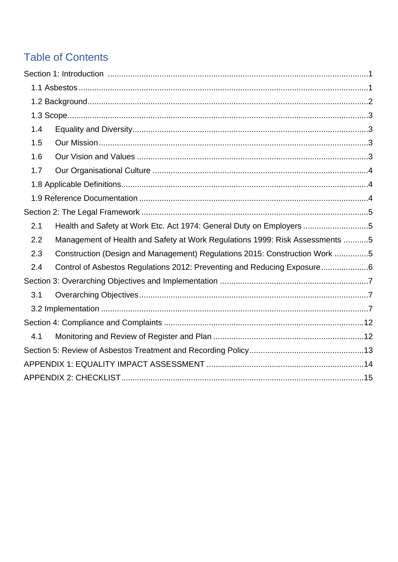## **Table of Contents**

| 1.4 |                                                                              |  |
|-----|------------------------------------------------------------------------------|--|
| 1.5 |                                                                              |  |
| 1.6 |                                                                              |  |
| 1.7 |                                                                              |  |
|     |                                                                              |  |
|     |                                                                              |  |
|     |                                                                              |  |
| 2.1 | Health and Safety at Work Etc. Act 1974: General Duty on Employers 5         |  |
| 2.2 | Management of Health and Safety at Work Regulations 1999: Risk Assessments 5 |  |
| 2.3 | Construction (Design and Management) Regulations 2015: Construction Work 5   |  |
| 2.4 | Control of Asbestos Regulations 2012: Preventing and Reducing Exposure6      |  |
|     |                                                                              |  |
| 3.1 |                                                                              |  |
|     |                                                                              |  |
|     |                                                                              |  |
| 4.1 |                                                                              |  |
|     |                                                                              |  |
|     |                                                                              |  |
|     |                                                                              |  |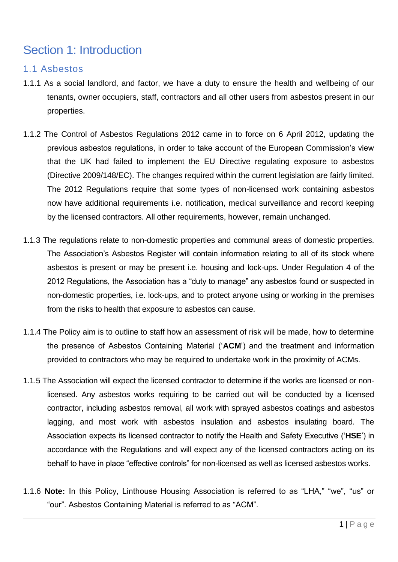## Section 1: Introduction

### 1.1 Asbestos

- 1.1.1 As a social landlord, and factor, we have a duty to ensure the health and wellbeing of our tenants, owner occupiers, staff, contractors and all other users from asbestos present in our properties.
- 1.1.2 The Control of Asbestos Regulations 2012 came in to force on 6 April 2012, updating the previous asbestos regulations, in order to take account of the European Commission's view that the UK had failed to implement the EU Directive regulating exposure to asbestos (Directive 2009/148/EC). The changes required within the current legislation are fairly limited. The 2012 Regulations require that some types of non-licensed work containing asbestos now have additional requirements i.e. notification, medical surveillance and record keeping by the licensed contractors. All other requirements, however, remain unchanged.
- 1.1.3 The regulations relate to non-domestic properties and communal areas of domestic properties. The Association's Asbestos Register will contain information relating to all of its stock where asbestos is present or may be present i.e. housing and lock-ups. Under Regulation 4 of the 2012 Regulations, the Association has a "duty to manage" any asbestos found or suspected in non-domestic properties, i.e. lock-ups, and to protect anyone using or working in the premises from the risks to health that exposure to asbestos can cause.
- 1.1.4 The Policy aim is to outline to staff how an assessment of risk will be made, how to determine the presence of Asbestos Containing Material ('**ACM**') and the treatment and information provided to contractors who may be required to undertake work in the proximity of ACMs.
- 1.1.5 The Association will expect the licensed contractor to determine if the works are licensed or nonlicensed. Any asbestos works requiring to be carried out will be conducted by a licensed contractor, including asbestos removal, all work with sprayed asbestos coatings and asbestos lagging, and most work with asbestos insulation and asbestos insulating board. The Association expects its licensed contractor to notify the Health and Safety Executive ('**HSE**') in accordance with the Regulations and will expect any of the licensed contractors acting on its behalf to have in place "effective controls" for non-licensed as well as licensed asbestos works.
- 1.1.6 **Note:** In this Policy, Linthouse Housing Association is referred to as "LHA," "we", "us" or "our". Asbestos Containing Material is referred to as "ACM".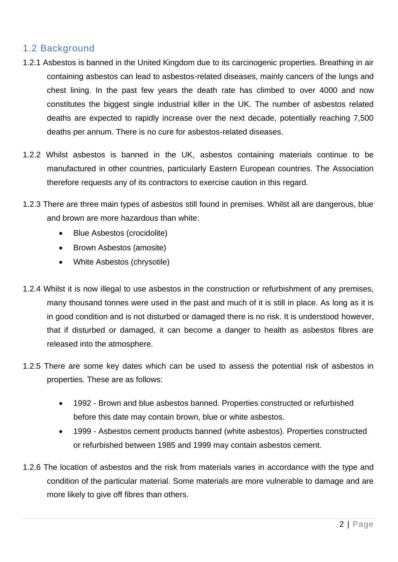## 1.2 Background

- 1.2.1 Asbestos is banned in the United Kingdom due to its carcinogenic properties. Breathing in air containing asbestos can lead to asbestos-related diseases, mainly cancers of the lungs and chest lining. In the past few years the death rate has climbed to over 4000 and now constitutes the biggest single industrial killer in the UK. The number of asbestos related deaths are expected to rapidly increase over the next decade, potentially reaching 7,500 deaths per annum. There is no cure for asbestos-related diseases.
- 1.2.2 Whilst asbestos is banned in the UK, asbestos containing materials continue to be manufactured in other countries, particularly Eastern European countries. The Association therefore requests any of its contractors to exercise caution in this regard.
- 1.2.3 There are three main types of asbestos still found in premises. Whilst all are dangerous, blue and brown are more hazardous than white:
	- Blue Asbestos (crocidolite)
	- Brown Asbestos (amosite)
	- White Asbestos (chrysotile)
- 1.2.4 Whilst it is now illegal to use asbestos in the construction or refurbishment of any premises, many thousand tonnes were used in the past and much of it is still in place. As long as it is in good condition and is not disturbed or damaged there is no risk. It is understood however, that if disturbed or damaged, it can become a danger to health as asbestos fibres are released into the atmosphere.
- 1.2.5 There are some key dates which can be used to assess the potential risk of asbestos in properties. These are as follows:
	- 1992 Brown and blue asbestos banned. Properties constructed or refurbished before this date may contain brown, blue or white asbestos.
	- 1999 Asbestos cement products banned (white asbestos). Properties constructed or refurbished between 1985 and 1999 may contain asbestos cement.
- 1.2.6 The location of asbestos and the risk from materials varies in accordance with the type and condition of the particular material. Some materials are more vulnerable to damage and are more likely to give off fibres than others.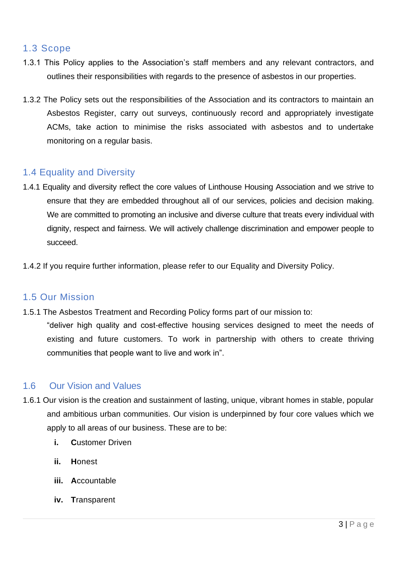### 1.3 Scope

- 1.3.1 This Policy applies to the Association's staff members and any relevant contractors, and outlines their responsibilities with regards to the presence of asbestos in our properties.
- 1.3.2 The Policy sets out the responsibilities of the Association and its contractors to maintain an Asbestos Register, carry out surveys, continuously record and appropriately investigate ACMs, take action to minimise the risks associated with asbestos and to undertake monitoring on a regular basis.

## 1.4 Equality and Diversity

- 1.4.1 Equality and diversity reflect the core values of Linthouse Housing Association and we strive to ensure that they are embedded throughout all of our services, policies and decision making. We are committed to promoting an inclusive and diverse culture that treats every individual with dignity, respect and fairness. We will actively challenge discrimination and empower people to succeed.
- 1.4.2 If you require further information, please refer to our Equality and Diversity Policy.

### 1.5 Our Mission

1.5.1 The Asbestos Treatment and Recording Policy forms part of our mission to: "deliver high quality and cost-effective housing services designed to meet the needs of existing and future customers. To work in partnership with others to create thriving communities that people want to live and work in".

## 1.6 Our Vision and Values

- 1.6.1 Our vision is the creation and sustainment of lasting, unique, vibrant homes in stable, popular and ambitious urban communities. Our vision is underpinned by four core values which we apply to all areas of our business. These are to be:
	- **i. C**ustomer Driven
	- **ii. H**onest
	- **iii. A**ccountable
	- **iv. T**ransparent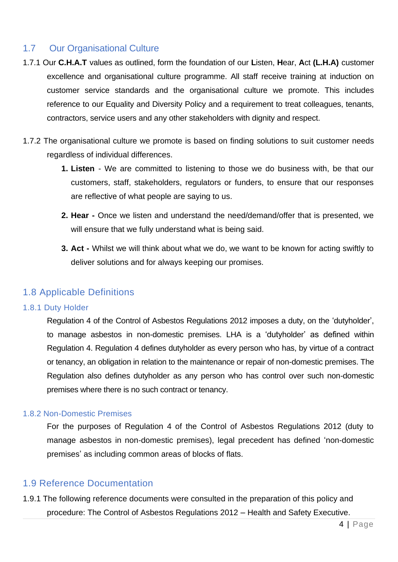## 1.7 Our Organisational Culture

- 1.7.1 Our **C.H.A.T** values as outlined, form the foundation of our **L**isten, **H**ear, **A**ct **(L.H.A)** customer excellence and organisational culture programme. All staff receive training at induction on customer service standards and the organisational culture we promote. This includes reference to our Equality and Diversity Policy and a requirement to treat colleagues, tenants, contractors, service users and any other stakeholders with dignity and respect.
- 1.7.2 The organisational culture we promote is based on finding solutions to suit customer needs regardless of individual differences.
	- **1. Listen**  We are committed to listening to those we do business with, be that our customers, staff, stakeholders, regulators or funders, to ensure that our responses are reflective of what people are saying to us.
	- **2. Hear -** Once we listen and understand the need/demand/offer that is presented, we will ensure that we fully understand what is being said.
	- **3. Act -** Whilst we will think about what we do, we want to be known for acting swiftly to deliver solutions and for always keeping our promises.

## 1.8 Applicable Definitions

### 1.8.1 Duty Holder

Regulation 4 of the Control of Asbestos Regulations 2012 imposes a duty, on the 'dutyholder', to manage asbestos in non-domestic premises. LHA is a 'dutyholder' as defined within Regulation 4. Regulation 4 defines dutyholder as every person who has, by virtue of a contract or tenancy, an obligation in relation to the maintenance or repair of non-domestic premises. The Regulation also defines dutyholder as any person who has control over such non-domestic premises where there is no such contract or tenancy.

### 1.8.2 Non-Domestic Premises

For the purposes of Regulation 4 of the Control of Asbestos Regulations 2012 (duty to manage asbestos in non-domestic premises), legal precedent has defined 'non-domestic premises' as including common areas of blocks of flats.

## 1.9 Reference Documentation

1.9.1 The following reference documents were consulted in the preparation of this policy and procedure: The Control of Asbestos Regulations 2012 – Health and Safety Executive.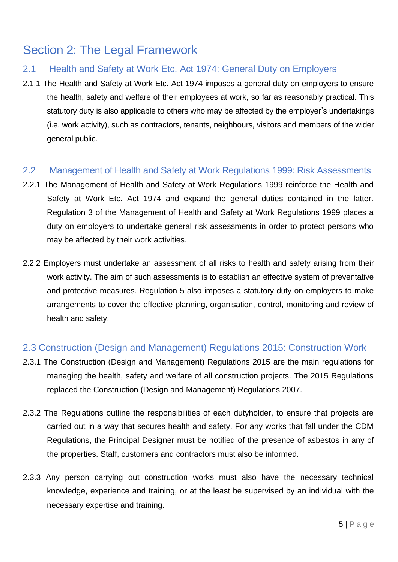## Section 2: The Legal Framework

## 2.1 Health and Safety at Work Etc. Act 1974: General Duty on Employers

2.1.1 The Health and Safety at Work Etc. Act 1974 imposes a general duty on employers to ensure the health, safety and welfare of their employees at work, so far as reasonably practical. This statutory duty is also applicable to others who may be affected by the employer's undertakings (i.e. work activity), such as contractors, tenants, neighbours, visitors and members of the wider general public.

### 2.2 Management of Health and Safety at Work Regulations 1999: Risk Assessments

- 2.2.1 The Management of Health and Safety at Work Regulations 1999 reinforce the Health and Safety at Work Etc. Act 1974 and expand the general duties contained in the latter. Regulation 3 of the Management of Health and Safety at Work Regulations 1999 places a duty on employers to undertake general risk assessments in order to protect persons who may be affected by their work activities.
- 2.2.2 Employers must undertake an assessment of all risks to health and safety arising from their work activity. The aim of such assessments is to establish an effective system of preventative and protective measures. Regulation 5 also imposes a statutory duty on employers to make arrangements to cover the effective planning, organisation, control, monitoring and review of health and safety.

### 2.3 Construction (Design and Management) Regulations 2015: Construction Work

- 2.3.1 The Construction (Design and Management) Regulations 2015 are the main regulations for managing the health, safety and welfare of all construction projects. The 2015 Regulations replaced the Construction (Design and Management) Regulations 2007.
- 2.3.2 The Regulations outline the responsibilities of each dutyholder, to ensure that projects are carried out in a way that secures health and safety. For any works that fall under the CDM Regulations, the Principal Designer must be notified of the presence of asbestos in any of the properties. Staff, customers and contractors must also be informed.
- 2.3.3 Any person carrying out construction works must also have the necessary technical knowledge, experience and training, or at the least be supervised by an individual with the necessary expertise and training.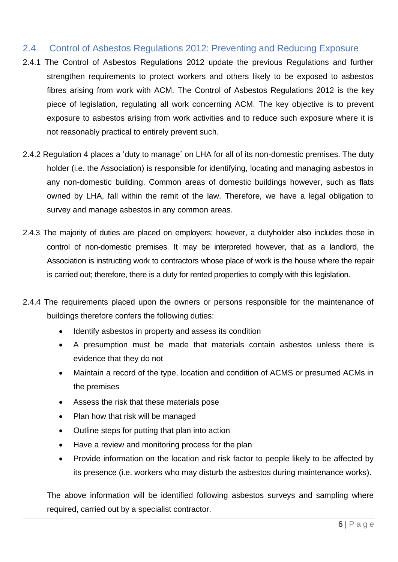### 2.4 Control of Asbestos Regulations 2012: Preventing and Reducing Exposure

- 2.4.1 The Control of Asbestos Regulations 2012 update the previous Regulations and further strengthen requirements to protect workers and others likely to be exposed to asbestos fibres arising from work with ACM. The Control of Asbestos Regulations 2012 is the key piece of legislation, regulating all work concerning ACM. The key objective is to prevent exposure to asbestos arising from work activities and to reduce such exposure where it is not reasonably practical to entirely prevent such.
- 2.4.2 Regulation 4 places a 'duty to manage' on LHA for all of its non-domestic premises. The duty holder (i.e. the Association) is responsible for identifying, locating and managing asbestos in any non-domestic building. Common areas of domestic buildings however, such as flats owned by LHA, fall within the remit of the law. Therefore, we have a legal obligation to survey and manage asbestos in any common areas.
- 2.4.3 The majority of duties are placed on employers; however, a dutyholder also includes those in control of non-domestic premises. It may be interpreted however, that as a landlord, the Association is instructing work to contractors whose place of work is the house where the repair is carried out; therefore, there is a duty for rented properties to comply with this legislation.
- 2.4.4 The requirements placed upon the owners or persons responsible for the maintenance of buildings therefore confers the following duties:
	- Identify asbestos in property and assess its condition
	- A presumption must be made that materials contain asbestos unless there is evidence that they do not
	- Maintain a record of the type, location and condition of ACMS or presumed ACMs in the premises
	- Assess the risk that these materials pose
	- Plan how that risk will be managed
	- Outline steps for putting that plan into action
	- Have a review and monitoring process for the plan
	- Provide information on the location and risk factor to people likely to be affected by its presence (i.e. workers who may disturb the asbestos during maintenance works).

The above information will be identified following asbestos surveys and sampling where required, carried out by a specialist contractor.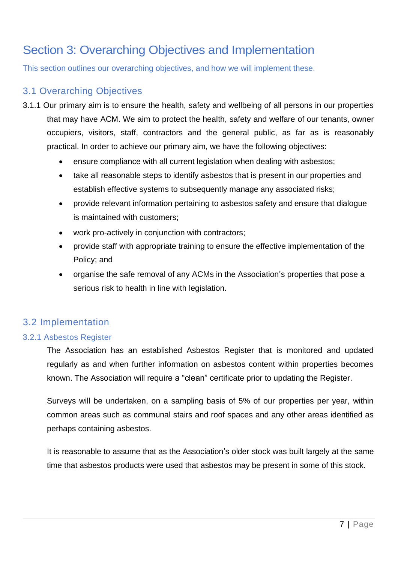# Section 3: Overarching Objectives and Implementation

This section outlines our overarching objectives, and how we will implement these.

## 3.1 Overarching Objectives

- 3.1.1 Our primary aim is to ensure the health, safety and wellbeing of all persons in our properties that may have ACM. We aim to protect the health, safety and welfare of our tenants, owner occupiers, visitors, staff, contractors and the general public, as far as is reasonably practical. In order to achieve our primary aim, we have the following objectives:
	- ensure compliance with all current legislation when dealing with asbestos;
	- take all reasonable steps to identify asbestos that is present in our properties and establish effective systems to subsequently manage any associated risks;
	- provide relevant information pertaining to asbestos safety and ensure that dialogue is maintained with customers;
	- work pro-actively in conjunction with contractors;
	- provide staff with appropriate training to ensure the effective implementation of the Policy; and
	- organise the safe removal of any ACMs in the Association's properties that pose a serious risk to health in line with legislation.

## 3.2 Implementation

### 3.2.1 Asbestos Register

The Association has an established Asbestos Register that is monitored and updated regularly as and when further information on asbestos content within properties becomes known. The Association will require a "clean" certificate prior to updating the Register.

Surveys will be undertaken, on a sampling basis of 5% of our properties per year, within common areas such as communal stairs and roof spaces and any other areas identified as perhaps containing asbestos.

It is reasonable to assume that as the Association's older stock was built largely at the same time that asbestos products were used that asbestos may be present in some of this stock.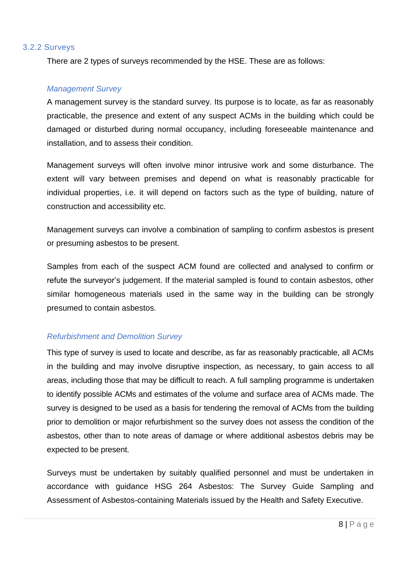#### 3.2.2 Surveys

There are 2 types of surveys recommended by the HSE. These are as follows:

#### *Management Survey*

A management survey is the standard survey. Its purpose is to locate, as far as reasonably practicable, the presence and extent of any suspect ACMs in the building which could be damaged or disturbed during normal occupancy, including foreseeable maintenance and installation, and to assess their condition.

Management surveys will often involve minor intrusive work and some disturbance. The extent will vary between premises and depend on what is reasonably practicable for individual properties, i.e. it will depend on factors such as the type of building, nature of construction and accessibility etc.

Management surveys can involve a combination of sampling to confirm asbestos is present or presuming asbestos to be present.

Samples from each of the suspect ACM found are collected and analysed to confirm or refute the surveyor's judgement. If the material sampled is found to contain asbestos, other similar homogeneous materials used in the same way in the building can be strongly presumed to contain asbestos.

#### *Refurbishment and Demolition Survey*

This type of survey is used to locate and describe, as far as reasonably practicable, all ACMs in the building and may involve disruptive inspection, as necessary, to gain access to all areas, including those that may be difficult to reach. A full sampling programme is undertaken to identify possible ACMs and estimates of the volume and surface area of ACMs made. The survey is designed to be used as a basis for tendering the removal of ACMs from the building prior to demolition or major refurbishment so the survey does not assess the condition of the asbestos, other than to note areas of damage or where additional asbestos debris may be expected to be present.

Surveys must be undertaken by suitably qualified personnel and must be undertaken in accordance with guidance HSG 264 Asbestos: The Survey Guide Sampling and Assessment of Asbestos-containing Materials issued by the Health and Safety Executive.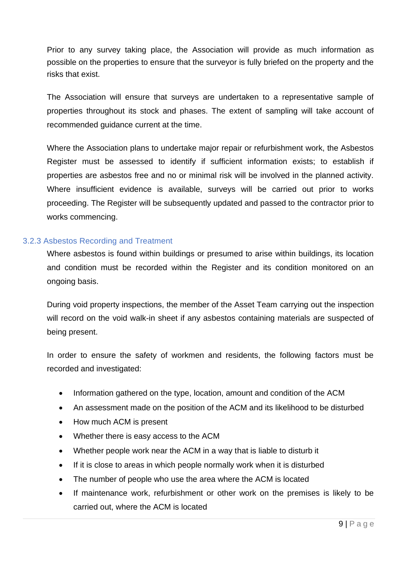Prior to any survey taking place, the Association will provide as much information as possible on the properties to ensure that the surveyor is fully briefed on the property and the risks that exist.

The Association will ensure that surveys are undertaken to a representative sample of properties throughout its stock and phases. The extent of sampling will take account of recommended guidance current at the time.

Where the Association plans to undertake major repair or refurbishment work, the Asbestos Register must be assessed to identify if sufficient information exists; to establish if properties are asbestos free and no or minimal risk will be involved in the planned activity. Where insufficient evidence is available, surveys will be carried out prior to works proceeding. The Register will be subsequently updated and passed to the contractor prior to works commencing.

#### 3.2.3 Asbestos Recording and Treatment

Where asbestos is found within buildings or presumed to arise within buildings, its location and condition must be recorded within the Register and its condition monitored on an ongoing basis.

During void property inspections, the member of the Asset Team carrying out the inspection will record on the void walk-in sheet if any asbestos containing materials are suspected of being present.

In order to ensure the safety of workmen and residents, the following factors must be recorded and investigated:

- Information gathered on the type, location, amount and condition of the ACM
- An assessment made on the position of the ACM and its likelihood to be disturbed
- How much ACM is present
- Whether there is easy access to the ACM
- Whether people work near the ACM in a way that is liable to disturb it
- If it is close to areas in which people normally work when it is disturbed
- The number of people who use the area where the ACM is located
- If maintenance work, refurbishment or other work on the premises is likely to be carried out, where the ACM is located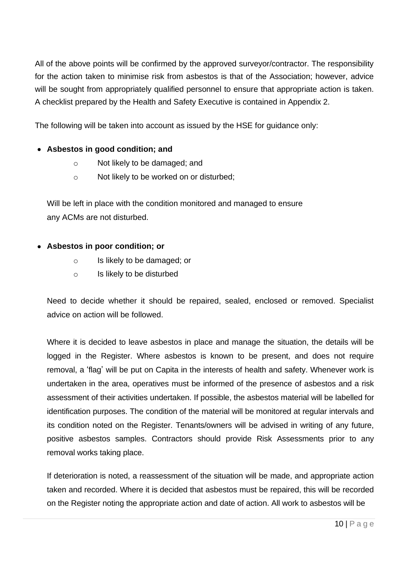All of the above points will be confirmed by the approved surveyor/contractor. The responsibility for the action taken to minimise risk from asbestos is that of the Association; however, advice will be sought from appropriately qualified personnel to ensure that appropriate action is taken. A checklist prepared by the Health and Safety Executive is contained in Appendix 2.

The following will be taken into account as issued by the HSE for guidance only:

### • **Asbestos in good condition; and**

- o Not likely to be damaged; and
- o Not likely to be worked on or disturbed;

Will be left in place with the condition monitored and managed to ensure any ACMs are not disturbed.

#### • **Asbestos in poor condition; or**

- o Is likely to be damaged; or
- o Is likely to be disturbed

Need to decide whether it should be repaired, sealed, enclosed or removed. Specialist advice on action will be followed.

Where it is decided to leave asbestos in place and manage the situation, the details will be logged in the Register. Where asbestos is known to be present, and does not require removal, a 'flag' will be put on Capita in the interests of health and safety. Whenever work is undertaken in the area, operatives must be informed of the presence of asbestos and a risk assessment of their activities undertaken. If possible, the asbestos material will be labelled for identification purposes. The condition of the material will be monitored at regular intervals and its condition noted on the Register. Tenants/owners will be advised in writing of any future, positive asbestos samples. Contractors should provide Risk Assessments prior to any removal works taking place.

If deterioration is noted, a reassessment of the situation will be made, and appropriate action taken and recorded. Where it is decided that asbestos must be repaired, this will be recorded on the Register noting the appropriate action and date of action. All work to asbestos will be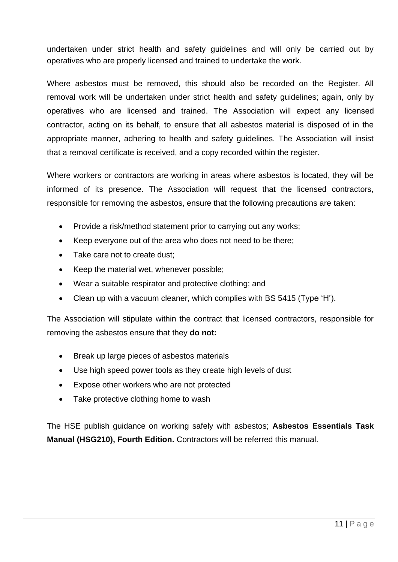undertaken under strict health and safety guidelines and will only be carried out by operatives who are properly licensed and trained to undertake the work.

Where asbestos must be removed, this should also be recorded on the Register. All removal work will be undertaken under strict health and safety guidelines; again, only by operatives who are licensed and trained. The Association will expect any licensed contractor, acting on its behalf, to ensure that all asbestos material is disposed of in the appropriate manner, adhering to health and safety guidelines. The Association will insist that a removal certificate is received, and a copy recorded within the register.

Where workers or contractors are working in areas where asbestos is located, they will be informed of its presence. The Association will request that the licensed contractors, responsible for removing the asbestos, ensure that the following precautions are taken:

- Provide a risk/method statement prior to carrying out any works;
- Keep everyone out of the area who does not need to be there;
- Take care not to create dust:
- Keep the material wet, whenever possible;
- Wear a suitable respirator and protective clothing; and
- Clean up with a vacuum cleaner, which complies with BS 5415 (Type 'H').

The Association will stipulate within the contract that licensed contractors, responsible for removing the asbestos ensure that they **do not:**

- Break up large pieces of asbestos materials
- Use high speed power tools as they create high levels of dust
- Expose other workers who are not protected
- Take protective clothing home to wash

The HSE publish guidance on working safely with asbestos; **Asbestos Essentials Task Manual (HSG210), Fourth Edition.** Contractors will be referred this manual.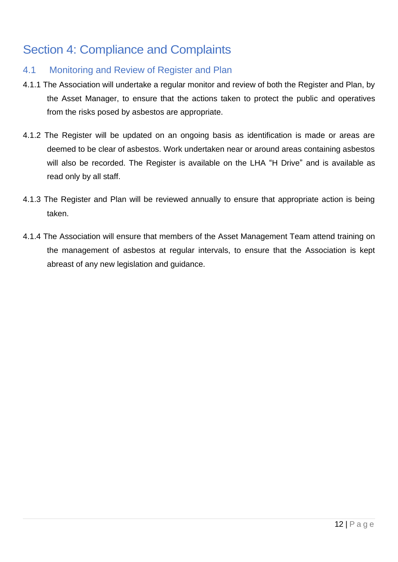# Section 4: Compliance and Complaints

## 4.1 Monitoring and Review of Register and Plan

- 4.1.1 The Association will undertake a regular monitor and review of both the Register and Plan, by the Asset Manager, to ensure that the actions taken to protect the public and operatives from the risks posed by asbestos are appropriate.
- 4.1.2 The Register will be updated on an ongoing basis as identification is made or areas are deemed to be clear of asbestos. Work undertaken near or around areas containing asbestos will also be recorded. The Register is available on the LHA "H Drive" and is available as read only by all staff.
- 4.1.3 The Register and Plan will be reviewed annually to ensure that appropriate action is being taken.
- 4.1.4 The Association will ensure that members of the Asset Management Team attend training on the management of asbestos at regular intervals, to ensure that the Association is kept abreast of any new legislation and guidance.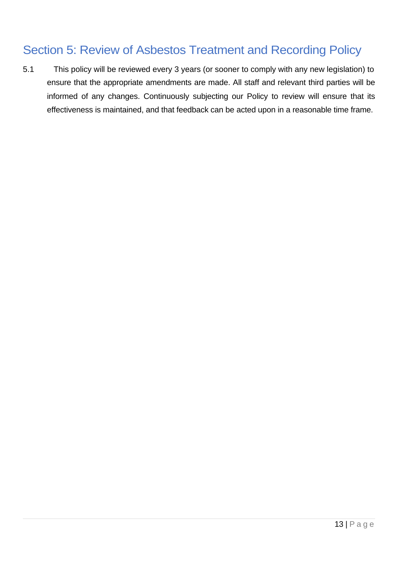# Section 5: Review of Asbestos Treatment and Recording Policy

5.1 This policy will be reviewed every 3 years (or sooner to comply with any new legislation) to ensure that the appropriate amendments are made. All staff and relevant third parties will be informed of any changes. Continuously subjecting our Policy to review will ensure that its effectiveness is maintained, and that feedback can be acted upon in a reasonable time frame.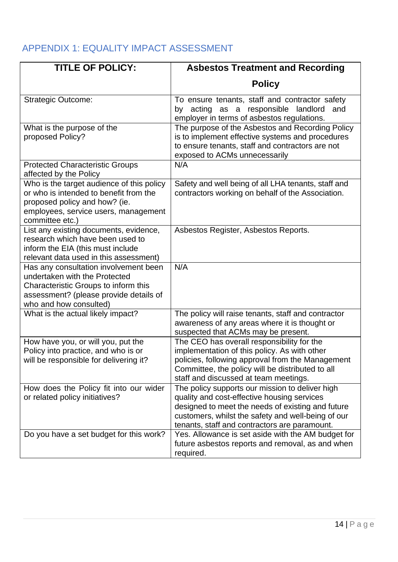## APPENDIX 1: EQUALITY IMPACT ASSESSMENT

| <b>TITLE OF POLICY:</b>                                                                                                                                                            | <b>Asbestos Treatment and Recording</b>                                                                                                                                                                                                                    |
|------------------------------------------------------------------------------------------------------------------------------------------------------------------------------------|------------------------------------------------------------------------------------------------------------------------------------------------------------------------------------------------------------------------------------------------------------|
|                                                                                                                                                                                    | <b>Policy</b>                                                                                                                                                                                                                                              |
| <b>Strategic Outcome:</b>                                                                                                                                                          | To ensure tenants, staff and contractor safety<br>acting as a responsible<br>landlord<br>and<br>by<br>employer in terms of asbestos regulations.                                                                                                           |
| What is the purpose of the<br>proposed Policy?                                                                                                                                     | The purpose of the Asbestos and Recording Policy<br>is to implement effective systems and procedures<br>to ensure tenants, staff and contractors are not<br>exposed to ACMs unnecessarily                                                                  |
| <b>Protected Characteristic Groups</b><br>affected by the Policy                                                                                                                   | N/A                                                                                                                                                                                                                                                        |
| Who is the target audience of this policy<br>or who is intended to benefit from the<br>proposed policy and how? (ie.<br>employees, service users, management<br>committee etc.)    | Safety and well being of all LHA tenants, staff and<br>contractors working on behalf of the Association.                                                                                                                                                   |
| List any existing documents, evidence,<br>research which have been used to<br>inform the EIA (this must include<br>relevant data used in this assessment)                          | Asbestos Register, Asbestos Reports.                                                                                                                                                                                                                       |
| Has any consultation involvement been<br>undertaken with the Protected<br>Characteristic Groups to inform this<br>assessment? (please provide details of<br>who and how consulted) | N/A                                                                                                                                                                                                                                                        |
| What is the actual likely impact?                                                                                                                                                  | The policy will raise tenants, staff and contractor<br>awareness of any areas where it is thought or<br>suspected that ACMs may be present.                                                                                                                |
| How have you, or will you, put the<br>Policy into practice, and who is or<br>will be responsible for delivering it?                                                                | The CEO has overall responsibility for the<br>implementation of this policy. As with other<br>policies, following approval from the Management<br>Committee, the policy will be distributed to all<br>staff and discussed at team meetings.                |
| How does the Policy fit into our wider<br>or related policy initiatives?                                                                                                           | The policy supports our mission to deliver high<br>quality and cost-effective housing services<br>designed to meet the needs of existing and future<br>customers, whilst the safety and well-being of our<br>tenants, staff and contractors are paramount. |
| Do you have a set budget for this work?                                                                                                                                            | Yes. Allowance is set aside with the AM budget for<br>future asbestos reports and removal, as and when<br>required.                                                                                                                                        |